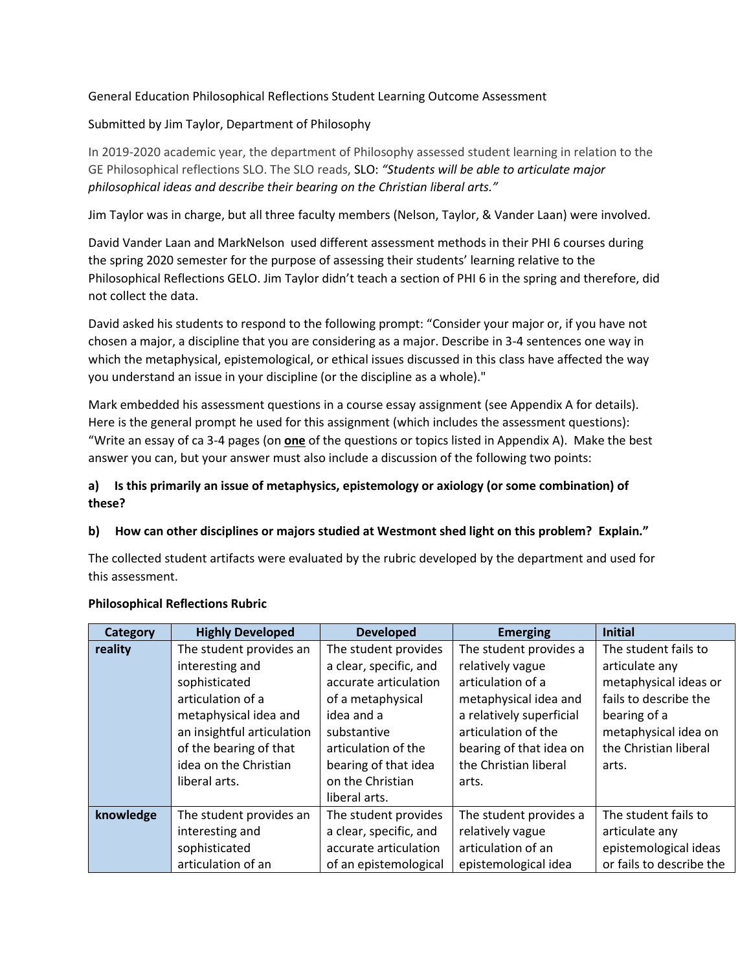# General Education Philosophical Reflections Student Learning Outcome Assessment

## Submitted by Jim Taylor, Department of Philosophy

In 2019-2020 academic year, the department of Philosophy assessed student learning in relation to the GE Philosophical reflections SLO. The SLO reads, SLO: *"Students will be able to articulate major philosophical ideas and describe their bearing on the Christian liberal arts."*

Jim Taylor was in charge, but all three faculty members (Nelson, Taylor, & Vander Laan) were involved.

David Vander Laan and MarkNelson used different assessment methods in their PHI 6 courses during the spring 2020 semester for the purpose of assessing their students' learning relative to the Philosophical Reflections GELO. Jim Taylor didn't teach a section of PHI 6 in the spring and therefore, did not collect the data.

David asked his students to respond to the following prompt: "Consider your major or, if you have not chosen a major, a discipline that you are considering as a major. Describe in 3-4 sentences one way in which the metaphysical, epistemological, or ethical issues discussed in this class have affected the way you understand an issue in your discipline (or the discipline as a whole)."

Mark embedded his assessment questions in a course essay assignment (see Appendix A for details). Here is the general prompt he used for this assignment (which includes the assessment questions): "Write an essay of ca 3-4 pages (on **one** of the questions or topics listed in Appendix A). Make the best answer you can, but your answer must also include a discussion of the following two points:

# **a) Is this primarily an issue of metaphysics, epistemology or axiology (or some combination) of these?**

### **b) How can other disciplines or majors studied at Westmont shed light on this problem? Explain."**

The collected student artifacts were evaluated by the rubric developed by the department and used for this assessment.

| <b>Category</b> | <b>Highly Developed</b>    | <b>Developed</b>       | <b>Emerging</b>          | <b>Initial</b>           |
|-----------------|----------------------------|------------------------|--------------------------|--------------------------|
| reality         | The student provides an    | The student provides   | The student provides a   | The student fails to     |
|                 | interesting and            | a clear, specific, and | relatively vague         | articulate any           |
|                 | sophisticated              | accurate articulation  | articulation of a        | metaphysical ideas or    |
|                 | articulation of a          | of a metaphysical      | metaphysical idea and    | fails to describe the    |
|                 | metaphysical idea and      | idea and a             | a relatively superficial | bearing of a             |
|                 | an insightful articulation | substantive            | articulation of the      | metaphysical idea on     |
|                 | of the bearing of that     | articulation of the    | bearing of that idea on  | the Christian liberal    |
|                 | idea on the Christian      | bearing of that idea   | the Christian liberal    | arts.                    |
|                 | liberal arts.              | on the Christian       | arts.                    |                          |
|                 |                            | liberal arts.          |                          |                          |
| knowledge       | The student provides an    | The student provides   | The student provides a   | The student fails to     |
|                 | interesting and            | a clear, specific, and | relatively vague         | articulate any           |
|                 | sophisticated              | accurate articulation  | articulation of an       | epistemological ideas    |
|                 | articulation of an         | of an epistemological  | epistemological idea     | or fails to describe the |

#### **Philosophical Reflections Rubric**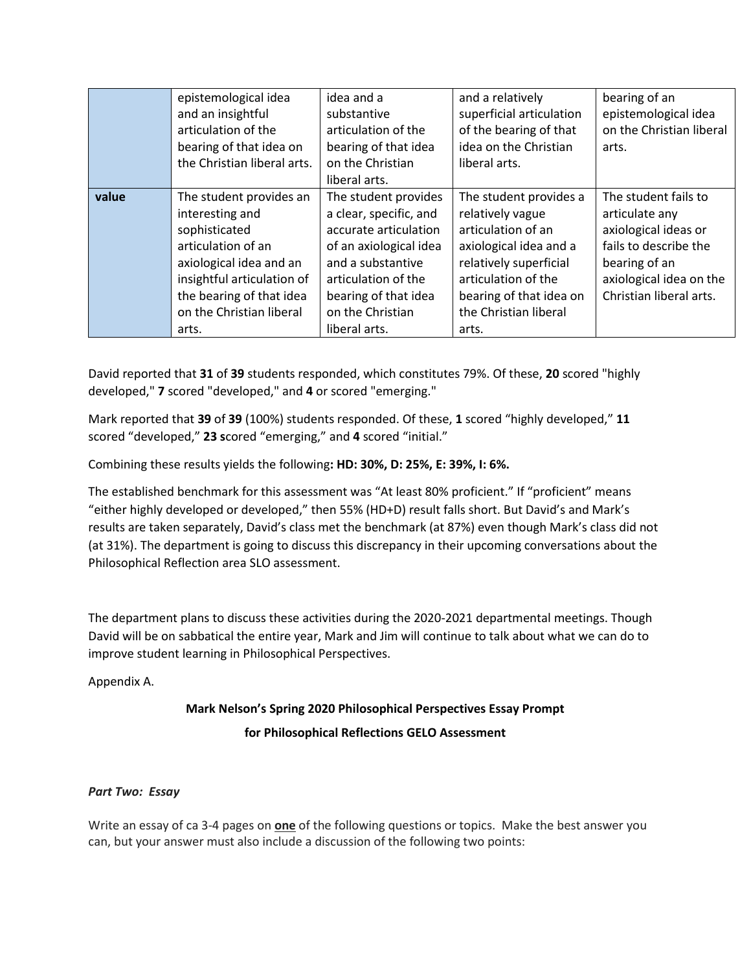|                | and an insightful<br>articulation of the<br>bearing of that idea on<br>the Christian liberal arts.                                                                                                 | substantive<br>articulation of the<br>bearing of that idea<br>on the Christian                                                                                                                             | superficial articulation<br>of the bearing of that<br>idea on the Christian<br>liberal arts.                                                                                                             | epistemological idea<br>on the Christian liberal<br>arts.                                                                                                      |
|----------------|----------------------------------------------------------------------------------------------------------------------------------------------------------------------------------------------------|------------------------------------------------------------------------------------------------------------------------------------------------------------------------------------------------------------|----------------------------------------------------------------------------------------------------------------------------------------------------------------------------------------------------------|----------------------------------------------------------------------------------------------------------------------------------------------------------------|
|                |                                                                                                                                                                                                    | liberal arts.                                                                                                                                                                                              |                                                                                                                                                                                                          |                                                                                                                                                                |
| value<br>arts. | The student provides an<br>interesting and<br>sophisticated<br>articulation of an<br>axiological idea and an<br>insightful articulation of<br>the bearing of that idea<br>on the Christian liberal | The student provides<br>a clear, specific, and<br>accurate articulation<br>of an axiological idea<br>and a substantive<br>articulation of the<br>bearing of that idea<br>on the Christian<br>liberal arts. | The student provides a<br>relatively vague<br>articulation of an<br>axiological idea and a<br>relatively superficial<br>articulation of the<br>bearing of that idea on<br>the Christian liberal<br>arts. | The student fails to<br>articulate any<br>axiological ideas or<br>fails to describe the<br>bearing of an<br>axiological idea on the<br>Christian liberal arts. |

David reported that **31** of **39** students responded, which constitutes 79%. Of these, **20** scored "highly developed," **7** scored "developed," and **4** or scored "emerging."

Mark reported that **39** of **39** (100%) students responded. Of these, **1** scored "highly developed," **11**  scored "developed," **23 s**cored "emerging," and **4** scored "initial."

Combining these results yields the following**: HD: 30%, D: 25%, E: 39%, I: 6%.**

The established benchmark for this assessment was "At least 80% proficient." If "proficient" means "either highly developed or developed," then 55% (HD+D) result falls short. But David's and Mark's results are taken separately, David's class met the benchmark (at 87%) even though Mark's class did not (at 31%). The department is going to discuss this discrepancy in their upcoming conversations about the Philosophical Reflection area SLO assessment.

The department plans to discuss these activities during the 2020-2021 departmental meetings. Though David will be on sabbatical the entire year, Mark and Jim will continue to talk about what we can do to improve student learning in Philosophical Perspectives.

Appendix A.

# **Mark Nelson's Spring 2020 Philosophical Perspectives Essay Prompt for Philosophical Reflections GELO Assessment**

# *Part Two: Essay*

Write an essay of ca 3-4 pages on **one** of the following questions or topics. Make the best answer you can, but your answer must also include a discussion of the following two points: